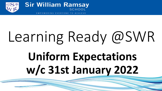



EVERYONE TO ACHIE

# Learning Ready @SWR **Uniform Expectations w/c 31st January 2022**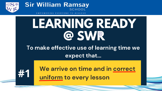



## LEARNING READY Q SWR

To make effective use of learning time we expect that...



We arrive on time and in correct uniform to every lesson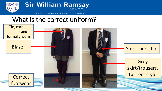



### What is the correct uniform?

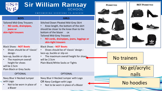

#### EMPOWERING EVERYONE TO ACHIEVE

| <b>BOYS</b>                                                                                                                                                                                              | <b>GIRLS</b>                                                                                                                                                                                                                                                          |  |                                      |  |
|----------------------------------------------------------------------------------------------------------------------------------------------------------------------------------------------------------|-----------------------------------------------------------------------------------------------------------------------------------------------------------------------------------------------------------------------------------------------------------------------|--|--------------------------------------|--|
| <b>Tailored Mid-Grey Trousers</b><br>NO cords, drainpipes,<br>jeans or<br>skin-tight trousers                                                                                                            | <b>Stitched Down Pleated Mid-Grey Skirt</b><br>Knee length, the bottom of the skirt<br>should be closer to the knee than to the<br>bottom of the blazer<br>OR<br><b>Tailored Mid-Grey Trousers</b><br>NO cords, drainpipes, jeans, leggings or<br>skin-tight trousers |  |                                      |  |
| <b>Black Shoes - NOT Boots</b><br>Shoes should be of 'classic'<br>design -<br>lace-up, buckle or slip-on<br>The maximum overall<br>height for shoes<br>will be 2.5cm<br><b>Plain Black or Grey Socks</b> | <b>Black Shoes - NOT Boots</b><br>Shoes should be of 'classic' design -<br>lace-up, buckle or slip-on<br>The maximum overall height for shoes<br>will be 2.5cm<br>Plain Black/White Socks or Tights                                                                   |  | <b>No trainers</b><br>No gel/acrylic |  |
| <b>OPTIONAL</b>                                                                                                                                                                                          | <b>OPTIONAL</b>                                                                                                                                                                                                                                                       |  | nails                                |  |
| Navy Blue V-Necked Jumper<br>with Logo<br>Not to be worn in place of<br>a Blazer                                                                                                                         | Navy Blue V-Necked Jumper with Logo<br>OR Navy Cardigan with Logo<br>Not to be worn in place of a Blazer                                                                                                                                                              |  | No hoodies                           |  |

**NOT PERMITTED** 

**PERMITTED**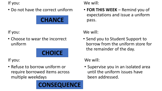If you:

• Do not have the correct uniform



If you:

• Choose to wear the incorrect uniform



If you:

• Refuse to borrow uniform or require borrowed items across multiple weekdays

### **CONSEQUENCE**

#### We will:

• **FOR THIS WEEK** – Remind you of expectations and issue a uniform

#### We will:

• Send you to Student Support to borrow from the uniform store for the remainder of the day.

We will:

• Supervise you in an isolated area until the uniform issues have been addressed.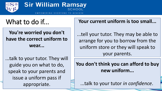

### **You're worried you don't have the correct uniform to wear...**

...talk to your tutor. They will guide you on what to do, speak to your parents and issue a uniform pass if appropriate.

What to do if... **What to do if...** Your current uniform is too small...

...tell your tutor. They may be able to arrange for you to borrow from the uniform store or they will speak to your parents.

### **You don't think you can afford to buy new uniform...**

...talk to your tutor *in confidence*.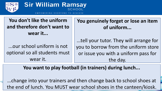

**You don't like the uniform and therefore don't want to wear it...**

...our school uniform is not optional so all students must wear it.

**You genuinely forget or lose an item of uniform...**

...tell your tutor. They will arrange for you to borrow from the uniform store or issue you with a uniform pass for the day.

**You want to play football (in trainers) during lunch...**

...change into your trainers and then change back to school shoes at the end of lunch. You MUST wear school shoes in the canteen/kiosk.